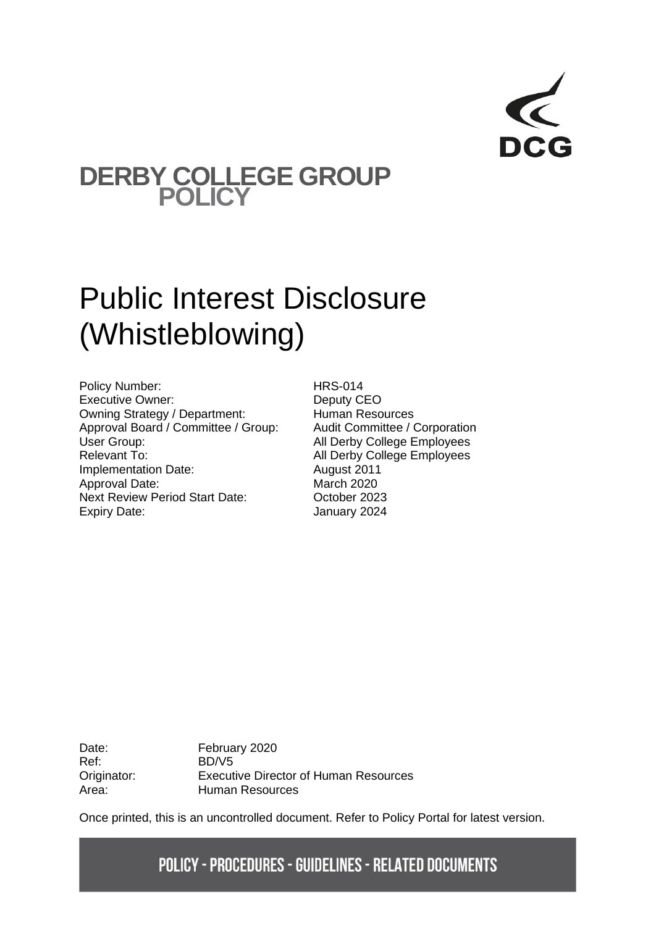# **DERBY COLLEGE GROUP POLICY**

# Public Interest Disclosure (Whistleblowing)

Policy Number: HRS-014 Executive Owner: Deputy CEO Owning Strategy / Department: Human Resources<br>
Approval Board / Committee / Group: Audit Committee / Corporation Approval Board / Committee / Group: User Group: Call Derby College Employees Relevant To: All Derby College Employees Implementation Date: August 2011 Approval Date: March 2020 Next Review Period Start Date: October 2023 Expiry Date: January 2024

Ref: BD/V5

Date: February 2020 Originator: Executive Director of Human Resources Area: Human Resources

Once printed, this is an uncontrolled document. Refer to Policy Portal for latest version.

# **POLICY - PROCEDURES - GUIDELINES - RELATED DOCUMENTS**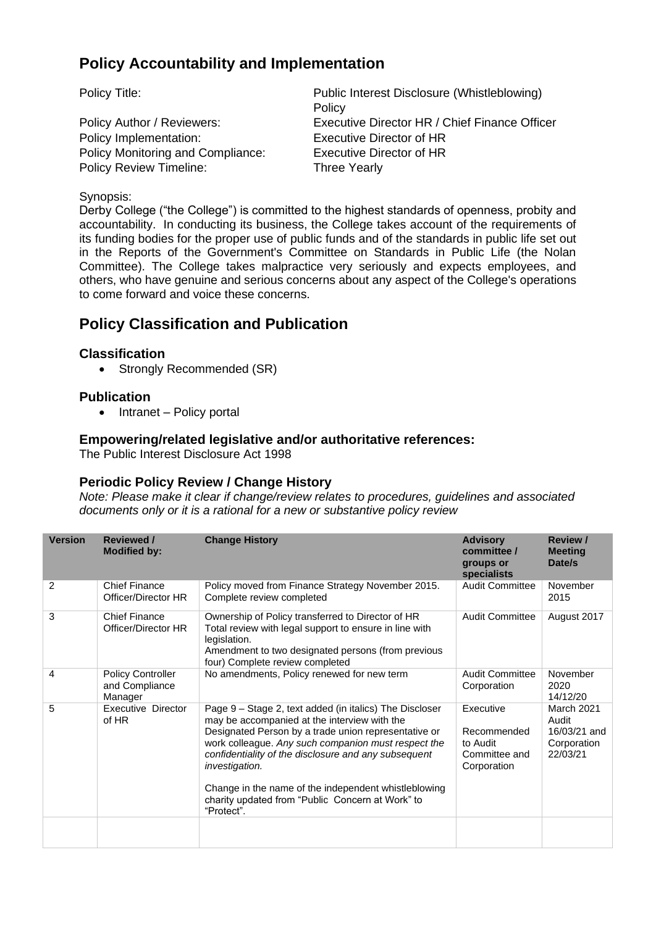# **Policy Accountability and Implementation**

Policy Implementation: Executive Director of HR Policy Monitoring and Compliance: Executive Director of HR Policy Review Timeline: Three Yearly

Policy Title: Policy Title: Public Interest Disclosure (Whistleblowing) **Policy** Policy Author / Reviewers: Executive Director HR / Chief Finance Officer

#### Synopsis:

Derby College ("the College") is committed to the highest standards of openness, probity and accountability. In conducting its business, the College takes account of the requirements of its funding bodies for the proper use of public funds and of the standards in public life set out in the Reports of the Government's Committee on Standards in Public Life (the Nolan Committee). The College takes malpractice very seriously and expects employees, and others, who have genuine and serious concerns about any aspect of the College's operations to come forward and voice these concerns.

# **Policy Classification and Publication**

#### **Classification**

• Strongly Recommended (SR)

### **Publication**

• Intranet – Policy portal

#### **Empowering/related legislative and/or authoritative references:**

The Public Interest Disclosure Act 1998

#### **Periodic Policy Review / Change History**

*Note: Please make it clear if change/review relates to procedures, guidelines and associated documents only or it is a rational for a new or substantive policy review*

| <b>Version</b> | <b>Reviewed /</b><br><b>Modified by:</b>              | <b>Change History</b>                                                                                                                                                                                                                                                                                                                                                                                                      | <b>Advisory</b><br>committee /<br>groups or<br>specialists           | <b>Review /</b><br><b>Meeting</b><br>Date/s                           |
|----------------|-------------------------------------------------------|----------------------------------------------------------------------------------------------------------------------------------------------------------------------------------------------------------------------------------------------------------------------------------------------------------------------------------------------------------------------------------------------------------------------------|----------------------------------------------------------------------|-----------------------------------------------------------------------|
| 2              | <b>Chief Finance</b><br>Officer/Director HR           | Policy moved from Finance Strategy November 2015.<br>Complete review completed                                                                                                                                                                                                                                                                                                                                             | <b>Audit Committee</b>                                               | November<br>2015                                                      |
| 3              | <b>Chief Finance</b><br>Officer/Director HR           | Ownership of Policy transferred to Director of HR<br>Total review with legal support to ensure in line with<br>legislation.<br>Amendment to two designated persons (from previous<br>four) Complete review completed                                                                                                                                                                                                       | <b>Audit Committee</b>                                               | August 2017                                                           |
| 4              | <b>Policy Controller</b><br>and Compliance<br>Manager | No amendments, Policy renewed for new term                                                                                                                                                                                                                                                                                                                                                                                 | <b>Audit Committee</b><br>Corporation                                | November<br>2020<br>14/12/20                                          |
| 5              | <b>Executive Director</b><br>of HR                    | Page 9 - Stage 2, text added (in italics) The Discloser<br>may be accompanied at the interview with the<br>Designated Person by a trade union representative or<br>work colleague. Any such companion must respect the<br>confidentiality of the disclosure and any subsequent<br>investigation.<br>Change in the name of the independent whistleblowing<br>charity updated from "Public Concern at Work" to<br>"Protect". | Executive<br>Recommended<br>to Audit<br>Committee and<br>Corporation | <b>March 2021</b><br>Audit<br>16/03/21 and<br>Corporation<br>22/03/21 |
|                |                                                       |                                                                                                                                                                                                                                                                                                                                                                                                                            |                                                                      |                                                                       |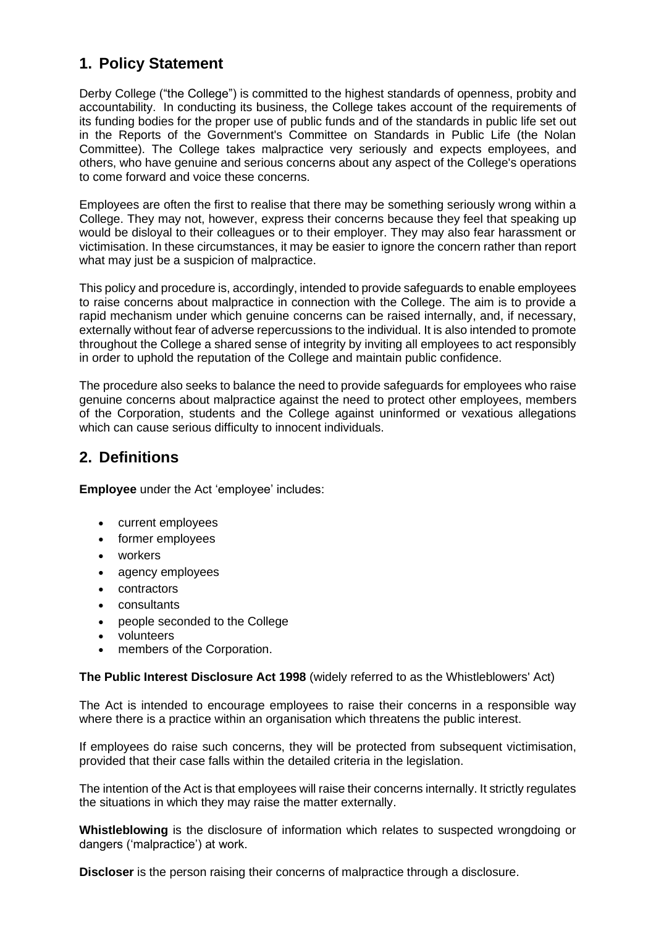# **1. Policy Statement**

Derby College ("the College") is committed to the highest standards of openness, probity and accountability. In conducting its business, the College takes account of the requirements of its funding bodies for the proper use of public funds and of the standards in public life set out in the Reports of the Government's Committee on Standards in Public Life (the Nolan Committee). The College takes malpractice very seriously and expects employees, and others, who have genuine and serious concerns about any aspect of the College's operations to come forward and voice these concerns.

Employees are often the first to realise that there may be something seriously wrong within a College. They may not, however, express their concerns because they feel that speaking up would be disloyal to their colleagues or to their employer. They may also fear harassment or victimisation. In these circumstances, it may be easier to ignore the concern rather than report what may just be a suspicion of malpractice.

This policy and procedure is, accordingly, intended to provide safeguards to enable employees to raise concerns about malpractice in connection with the College. The aim is to provide a rapid mechanism under which genuine concerns can be raised internally, and, if necessary, externally without fear of adverse repercussions to the individual. It is also intended to promote throughout the College a shared sense of integrity by inviting all employees to act responsibly in order to uphold the reputation of the College and maintain public confidence.

The procedure also seeks to balance the need to provide safeguards for employees who raise genuine concerns about malpractice against the need to protect other employees, members of the Corporation, students and the College against uninformed or vexatious allegations which can cause serious difficulty to innocent individuals.

# **2. Definitions**

**Employee** under the Act 'employee' includes:

- current employees
- former employees
- workers
- agency employees
- contractors
- consultants
- people seconded to the College
- volunteers
- members of the Corporation.

**The Public Interest Disclosure Act 1998** (widely referred to as the Whistleblowers' Act)

The Act is intended to encourage employees to raise their concerns in a responsible way where there is a practice within an organisation which threatens the public interest.

If employees do raise such concerns, they will be protected from subsequent victimisation, provided that their case falls within the detailed criteria in the legislation.

The intention of the Act is that employees will raise their concerns internally. It strictly regulates the situations in which they may raise the matter externally.

**Whistleblowing** is the disclosure of information which relates to suspected wrongdoing or dangers ('malpractice') at work.

**Discloser** is the person raising their concerns of malpractice through a disclosure.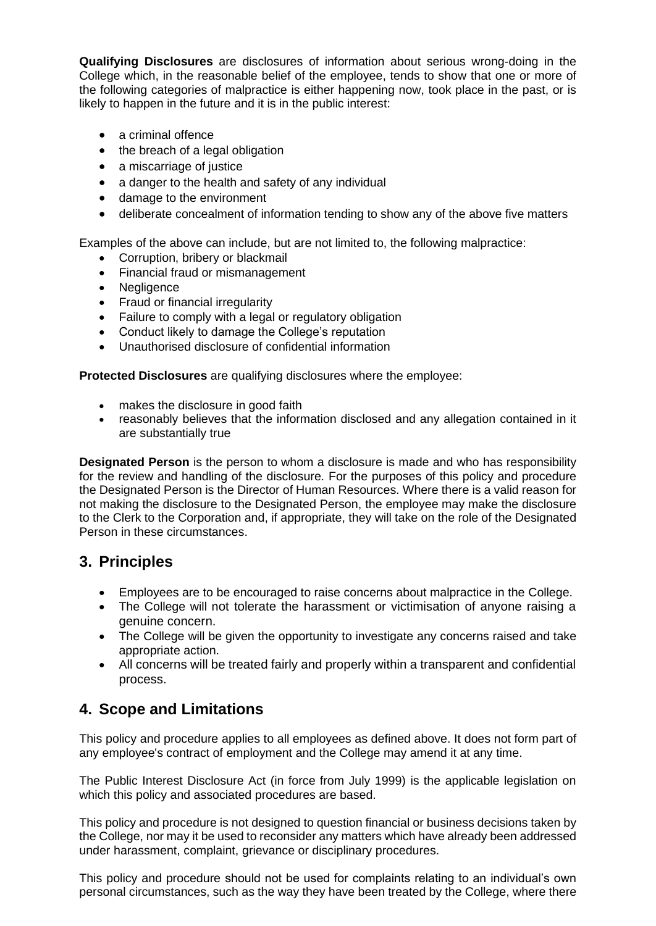**Qualifying Disclosures** are disclosures of information about serious wrong-doing in the College which, in the reasonable belief of the employee, tends to show that one or more of the following categories of malpractice is either happening now, took place in the past, or is likely to happen in the future and it is in the public interest:

- a criminal offence
- the breach of a legal obligation
- a miscarriage of justice
- a danger to the health and safety of any individual
- damage to the environment
- deliberate concealment of information tending to show any of the above five matters

Examples of the above can include, but are not limited to, the following malpractice:

- Corruption, bribery or blackmail
- Financial fraud or mismanagement
- Negligence
- Fraud or financial irregularity
- Failure to comply with a legal or regulatory obligation
- Conduct likely to damage the College's reputation
- Unauthorised disclosure of confidential information

**Protected Disclosures** are qualifying disclosures where the employee:

- makes the disclosure in good faith
- reasonably believes that the information disclosed and any allegation contained in it are substantially true

**Designated Person** is the person to whom a disclosure is made and who has responsibility for the review and handling of the disclosure. For the purposes of this policy and procedure the Designated Person is the Director of Human Resources. Where there is a valid reason for not making the disclosure to the Designated Person, the employee may make the disclosure to the Clerk to the Corporation and, if appropriate, they will take on the role of the Designated Person in these circumstances.

# **3. Principles**

- Employees are to be encouraged to raise concerns about malpractice in the College.
- The College will not tolerate the harassment or victimisation of anyone raising a genuine concern.
- The College will be given the opportunity to investigate any concerns raised and take appropriate action.
- All concerns will be treated fairly and properly within a transparent and confidential process.

# **4. Scope and Limitations**

This policy and procedure applies to all employees as defined above. It does not form part of any employee's contract of employment and the College may amend it at any time.

The Public Interest Disclosure Act (in force from July 1999) is the applicable legislation on which this policy and associated procedures are based.

This policy and procedure is not designed to question financial or business decisions taken by the College, nor may it be used to reconsider any matters which have already been addressed under harassment, complaint, grievance or disciplinary procedures.

This policy and procedure should not be used for complaints relating to an individual's own personal circumstances, such as the way they have been treated by the College, where there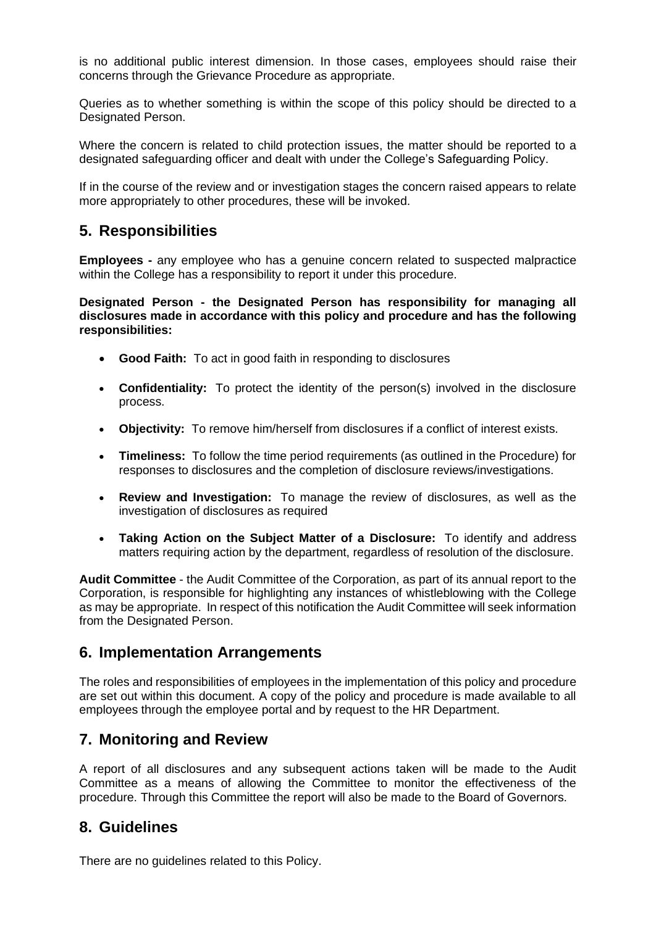is no additional public interest dimension. In those cases, employees should raise their concerns through the Grievance Procedure as appropriate.

Queries as to whether something is within the scope of this policy should be directed to a Designated Person.

Where the concern is related to child protection issues, the matter should be reported to a designated safeguarding officer and dealt with under the College's Safeguarding Policy.

If in the course of the review and or investigation stages the concern raised appears to relate more appropriately to other procedures, these will be invoked.

## **5. Responsibilities**

**Employees -** any employee who has a genuine concern related to suspected malpractice within the College has a responsibility to report it under this procedure.

**Designated Person - the Designated Person has responsibility for managing all disclosures made in accordance with this policy and procedure and has the following responsibilities:** 

- **Good Faith:** To act in good faith in responding to disclosures
- **Confidentiality:** To protect the identity of the person(s) involved in the disclosure process.
- **Objectivity:** To remove him/herself from disclosures if a conflict of interest exists.
- **Timeliness:** To follow the time period requirements (as outlined in the Procedure) for responses to disclosures and the completion of disclosure reviews/investigations.
- **Review and Investigation:** To manage the review of disclosures, as well as the investigation of disclosures as required
- **Taking Action on the Subject Matter of a Disclosure:** To identify and address matters requiring action by the department, regardless of resolution of the disclosure.

**Audit Committee** - the Audit Committee of the Corporation, as part of its annual report to the Corporation, is responsible for highlighting any instances of whistleblowing with the College as may be appropriate. In respect of this notification the Audit Committee will seek information from the Designated Person.

# **6. Implementation Arrangements**

The roles and responsibilities of employees in the implementation of this policy and procedure are set out within this document. A copy of the policy and procedure is made available to all employees through the employee portal and by request to the HR Department.

# **7. Monitoring and Review**

A report of all disclosures and any subsequent actions taken will be made to the Audit Committee as a means of allowing the Committee to monitor the effectiveness of the procedure. Through this Committee the report will also be made to the Board of Governors.

# **8. Guidelines**

There are no guidelines related to this Policy.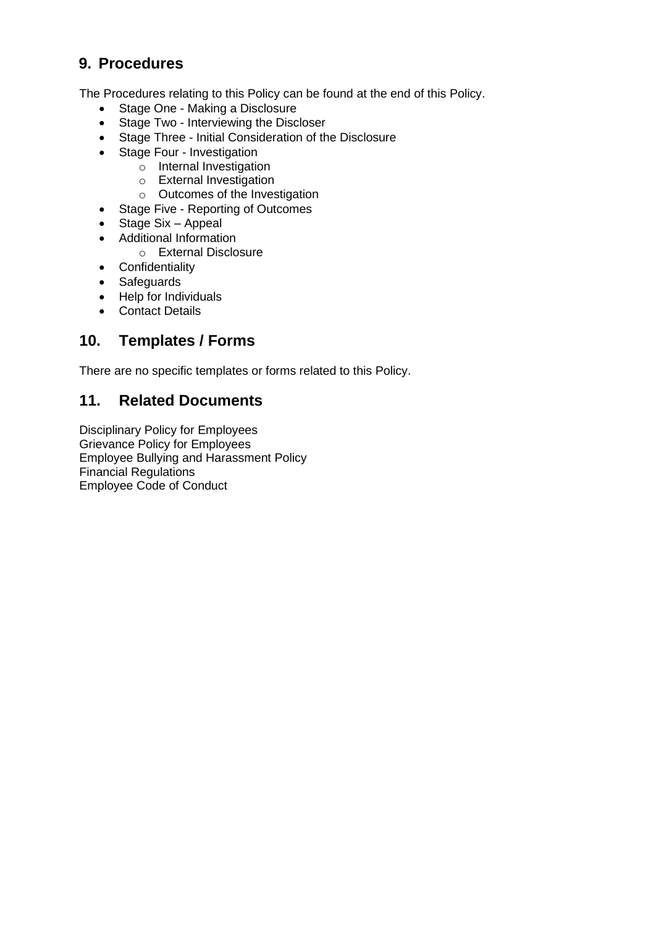# **9. Procedures**

The Procedures relating to this Policy can be found at the end of this Policy.

- Stage One Making a Disclosure
- Stage Two Interviewing the Discloser
- Stage Three Initial Consideration of the Disclosure
- Stage Four Investigation
	- o Internal Investigation
	- o External Investigation
	- o Outcomes of the Investigation
- Stage Five Reporting of Outcomes
- Stage Six Appeal
- Additional Information
	- o External Disclosure
- Confidentiality
- Safeguards
- Help for Individuals
- Contact Details

# **10. Templates / Forms**

There are no specific templates or forms related to this Policy.

# **11. Related Documents**

Disciplinary Policy for Employees Grievance Policy for Employees Employee Bullying and Harassment Policy Financial Regulations Employee Code of Conduct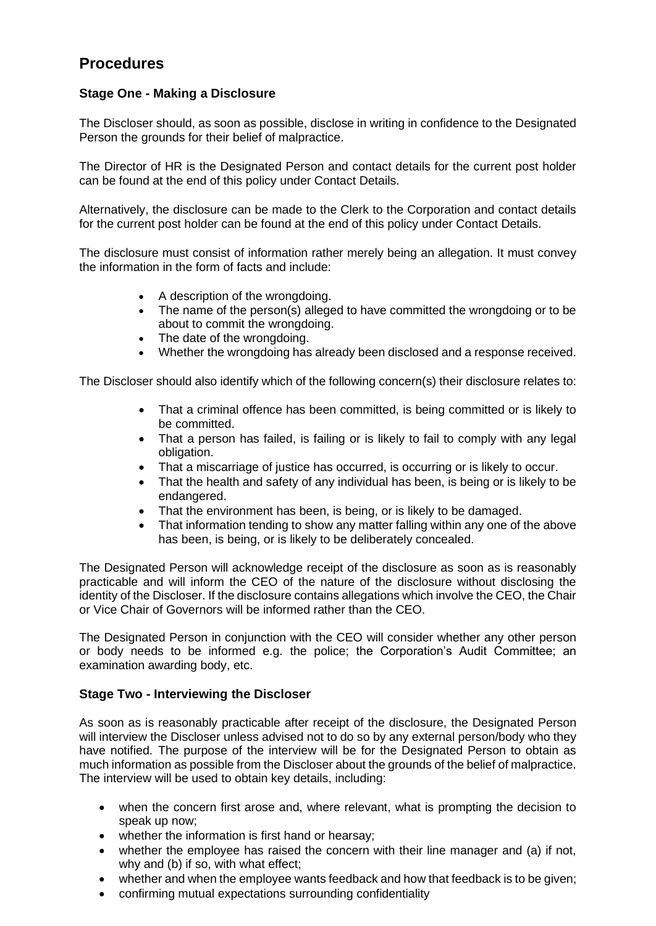# **Procedures**

#### **Stage One - Making a Disclosure**

The Discloser should, as soon as possible, disclose in writing in confidence to the Designated Person the grounds for their belief of malpractice.

The Director of HR is the Designated Person and contact details for the current post holder can be found at the end of this policy under Contact Details.

Alternatively, the disclosure can be made to the Clerk to the Corporation and contact details for the current post holder can be found at the end of this policy under Contact Details.

The disclosure must consist of information rather merely being an allegation. It must convey the information in the form of facts and include:

- A description of the wrongdoing.
- The name of the person(s) alleged to have committed the wrongdoing or to be about to commit the wrongdoing.
- The date of the wrongdoing.
- Whether the wrongdoing has already been disclosed and a response received.

The Discloser should also identify which of the following concern(s) their disclosure relates to:

- That a criminal offence has been committed, is being committed or is likely to be committed.
- That a person has failed, is failing or is likely to fail to comply with any legal obligation.
- That a miscarriage of justice has occurred, is occurring or is likely to occur.
- That the health and safety of any individual has been, is being or is likely to be endangered.
- That the environment has been, is being, or is likely to be damaged.
- That information tending to show any matter falling within any one of the above has been, is being, or is likely to be deliberately concealed.

The Designated Person will acknowledge receipt of the disclosure as soon as is reasonably practicable and will inform the CEO of the nature of the disclosure without disclosing the identity of the Discloser. If the disclosure contains allegations which involve the CEO, the Chair or Vice Chair of Governors will be informed rather than the CEO.

The Designated Person in conjunction with the CEO will consider whether any other person or body needs to be informed e.g. the police; the Corporation's Audit Committee; an examination awarding body, etc.

#### **Stage Two - Interviewing the Discloser**

As soon as is reasonably practicable after receipt of the disclosure, the Designated Person will interview the Discloser unless advised not to do so by any external person/body who they have notified. The purpose of the interview will be for the Designated Person to obtain as much information as possible from the Discloser about the grounds of the belief of malpractice. The interview will be used to obtain key details, including:

- when the concern first arose and, where relevant, what is prompting the decision to speak up now;
- whether the information is first hand or hearsay;
- whether the employee has raised the concern with their line manager and (a) if not, why and (b) if so, with what effect;
- whether and when the employee wants feedback and how that feedback is to be given;
- confirming mutual expectations surrounding confidentiality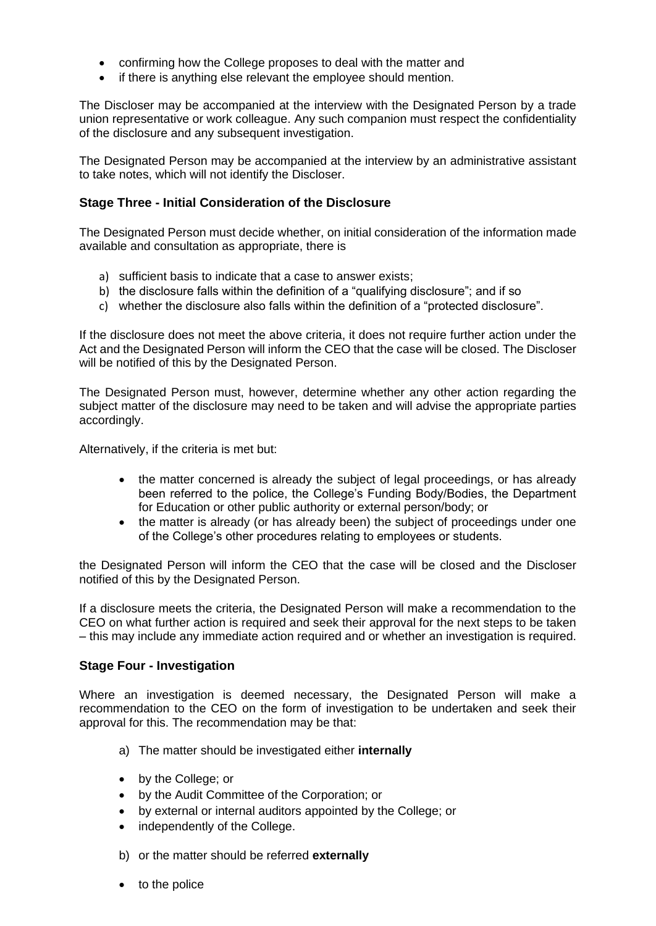- confirming how the College proposes to deal with the matter and
- if there is anything else relevant the employee should mention.

The Discloser may be accompanied at the interview with the Designated Person by a trade union representative or work colleague. Any such companion must respect the confidentiality of the disclosure and any subsequent investigation.

The Designated Person may be accompanied at the interview by an administrative assistant to take notes, which will not identify the Discloser.

#### **Stage Three - Initial Consideration of the Disclosure**

The Designated Person must decide whether, on initial consideration of the information made available and consultation as appropriate, there is

- a) sufficient basis to indicate that a case to answer exists;
- b) the disclosure falls within the definition of a "qualifying disclosure"; and if so
- c) whether the disclosure also falls within the definition of a "protected disclosure".

If the disclosure does not meet the above criteria, it does not require further action under the Act and the Designated Person will inform the CEO that the case will be closed. The Discloser will be notified of this by the Designated Person.

The Designated Person must, however, determine whether any other action regarding the subject matter of the disclosure may need to be taken and will advise the appropriate parties accordingly.

Alternatively, if the criteria is met but:

- the matter concerned is already the subject of legal proceedings, or has already been referred to the police, the College's Funding Body/Bodies, the Department for Education or other public authority or external person/body; or
- the matter is already (or has already been) the subject of proceedings under one of the College's other procedures relating to employees or students.

the Designated Person will inform the CEO that the case will be closed and the Discloser notified of this by the Designated Person.

If a disclosure meets the criteria, the Designated Person will make a recommendation to the CEO on what further action is required and seek their approval for the next steps to be taken – this may include any immediate action required and or whether an investigation is required.

#### **Stage Four - Investigation**

Where an investigation is deemed necessary, the Designated Person will make a recommendation to the CEO on the form of investigation to be undertaken and seek their approval for this. The recommendation may be that:

- a) The matter should be investigated either **internally**
- by the College; or
- by the Audit Committee of the Corporation; or
- by external or internal auditors appointed by the College; or
- independently of the College.
- b) or the matter should be referred **externally**
- to the police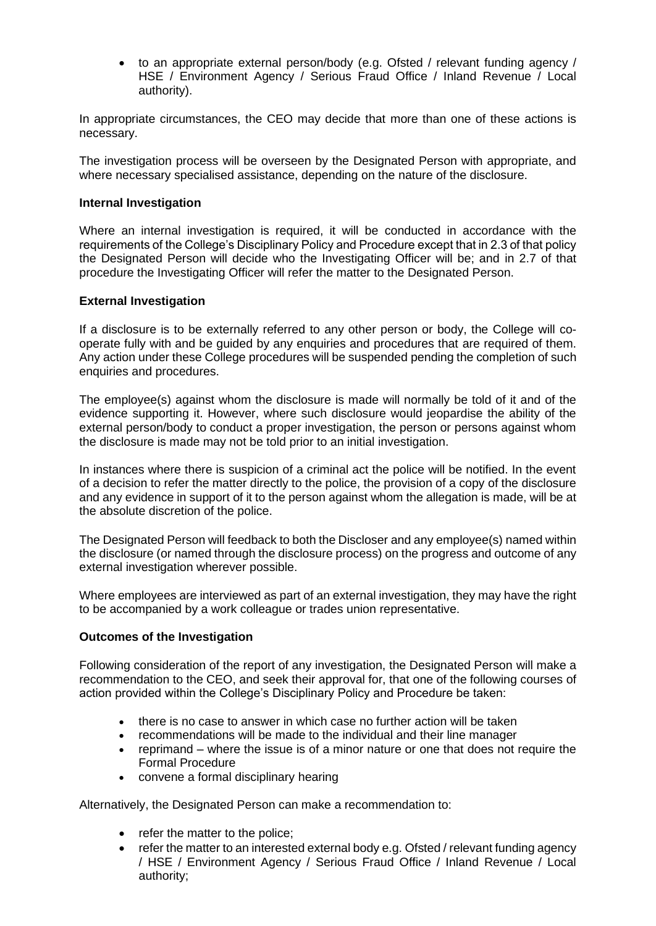• to an appropriate external person/body (e.g. Ofsted / relevant funding agency / HSE / Environment Agency / Serious Fraud Office / Inland Revenue / Local authority).

In appropriate circumstances, the CEO may decide that more than one of these actions is necessary.

The investigation process will be overseen by the Designated Person with appropriate, and where necessary specialised assistance, depending on the nature of the disclosure.

#### **Internal Investigation**

Where an internal investigation is required, it will be conducted in accordance with the requirements of the College's Disciplinary Policy and Procedure except that in 2.3 of that policy the Designated Person will decide who the Investigating Officer will be; and in 2.7 of that procedure the Investigating Officer will refer the matter to the Designated Person.

#### **External Investigation**

If a disclosure is to be externally referred to any other person or body, the College will cooperate fully with and be guided by any enquiries and procedures that are required of them. Any action under these College procedures will be suspended pending the completion of such enquiries and procedures.

The employee(s) against whom the disclosure is made will normally be told of it and of the evidence supporting it. However, where such disclosure would jeopardise the ability of the external person/body to conduct a proper investigation, the person or persons against whom the disclosure is made may not be told prior to an initial investigation.

In instances where there is suspicion of a criminal act the police will be notified. In the event of a decision to refer the matter directly to the police, the provision of a copy of the disclosure and any evidence in support of it to the person against whom the allegation is made, will be at the absolute discretion of the police.

The Designated Person will feedback to both the Discloser and any employee(s) named within the disclosure (or named through the disclosure process) on the progress and outcome of any external investigation wherever possible.

Where employees are interviewed as part of an external investigation, they may have the right to be accompanied by a work colleague or trades union representative.

#### **Outcomes of the Investigation**

Following consideration of the report of any investigation, the Designated Person will make a recommendation to the CEO, and seek their approval for, that one of the following courses of action provided within the College's Disciplinary Policy and Procedure be taken:

- there is no case to answer in which case no further action will be taken
- recommendations will be made to the individual and their line manager
- reprimand where the issue is of a minor nature or one that does not require the Formal Procedure
- convene a formal disciplinary hearing

Alternatively, the Designated Person can make a recommendation to:

- refer the matter to the police;
- refer the matter to an interested external body e.g. Ofsted / relevant funding agency / HSE / Environment Agency / Serious Fraud Office / Inland Revenue / Local authority;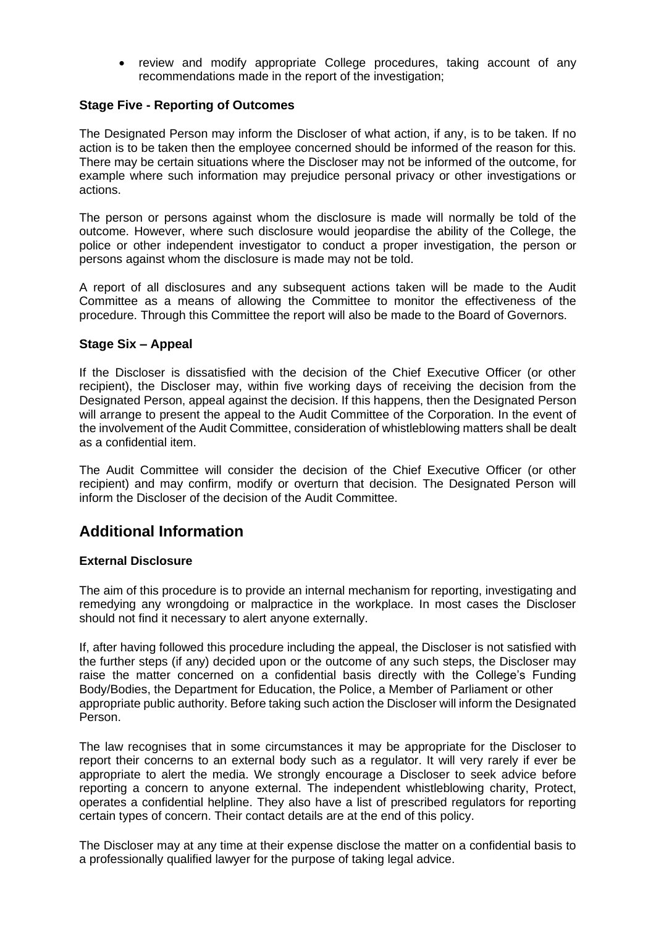review and modify appropriate College procedures, taking account of any recommendations made in the report of the investigation;

#### **Stage Five - Reporting of Outcomes**

The Designated Person may inform the Discloser of what action, if any, is to be taken. If no action is to be taken then the employee concerned should be informed of the reason for this. There may be certain situations where the Discloser may not be informed of the outcome, for example where such information may prejudice personal privacy or other investigations or actions.

The person or persons against whom the disclosure is made will normally be told of the outcome. However, where such disclosure would jeopardise the ability of the College, the police or other independent investigator to conduct a proper investigation, the person or persons against whom the disclosure is made may not be told.

A report of all disclosures and any subsequent actions taken will be made to the Audit Committee as a means of allowing the Committee to monitor the effectiveness of the procedure. Through this Committee the report will also be made to the Board of Governors.

#### **Stage Six – Appeal**

If the Discloser is dissatisfied with the decision of the Chief Executive Officer (or other recipient), the Discloser may, within five working days of receiving the decision from the Designated Person, appeal against the decision. If this happens, then the Designated Person will arrange to present the appeal to the Audit Committee of the Corporation. In the event of the involvement of the Audit Committee, consideration of whistleblowing matters shall be dealt as a confidential item.

The Audit Committee will consider the decision of the Chief Executive Officer (or other recipient) and may confirm, modify or overturn that decision. The Designated Person will inform the Discloser of the decision of the Audit Committee.

# **Additional Information**

#### **External Disclosure**

The aim of this procedure is to provide an internal mechanism for reporting, investigating and remedying any wrongdoing or malpractice in the workplace. In most cases the Discloser should not find it necessary to alert anyone externally.

If, after having followed this procedure including the appeal, the Discloser is not satisfied with the further steps (if any) decided upon or the outcome of any such steps, the Discloser may raise the matter concerned on a confidential basis directly with the College's Funding Body/Bodies, the Department for Education, the Police, a Member of Parliament or other appropriate public authority. Before taking such action the Discloser will inform the Designated Person.

The law recognises that in some circumstances it may be appropriate for the Discloser to report their concerns to an external body such as a regulator. It will very rarely if ever be appropriate to alert the media. We strongly encourage a Discloser to seek advice before reporting a concern to anyone external. The independent whistleblowing charity, Protect, operates a confidential helpline. They also have a list of prescribed regulators for reporting certain types of concern. Their contact details are at the end of this policy.

The Discloser may at any time at their expense disclose the matter on a confidential basis to a professionally qualified lawyer for the purpose of taking legal advice.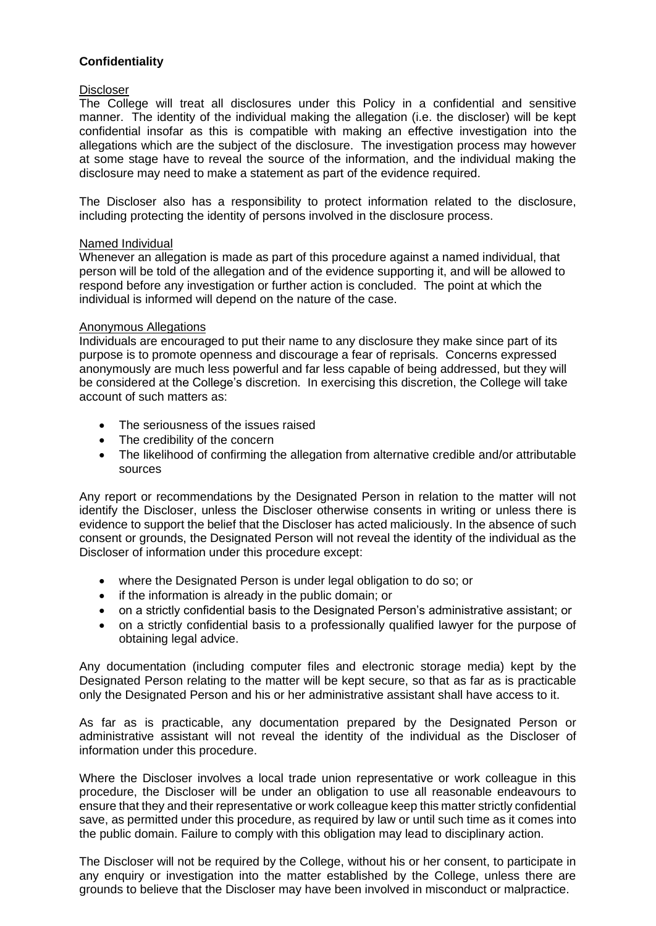#### **Confidentiality**

#### Discloser

The College will treat all disclosures under this Policy in a confidential and sensitive manner. The identity of the individual making the allegation (i.e. the discloser) will be kept confidential insofar as this is compatible with making an effective investigation into the allegations which are the subject of the disclosure. The investigation process may however at some stage have to reveal the source of the information, and the individual making the disclosure may need to make a statement as part of the evidence required.

The Discloser also has a responsibility to protect information related to the disclosure, including protecting the identity of persons involved in the disclosure process.

#### Named Individual

Whenever an allegation is made as part of this procedure against a named individual, that person will be told of the allegation and of the evidence supporting it, and will be allowed to respond before any investigation or further action is concluded. The point at which the individual is informed will depend on the nature of the case.

#### Anonymous Allegations

Individuals are encouraged to put their name to any disclosure they make since part of its purpose is to promote openness and discourage a fear of reprisals. Concerns expressed anonymously are much less powerful and far less capable of being addressed, but they will be considered at the College's discretion. In exercising this discretion, the College will take account of such matters as:

- The seriousness of the issues raised
- The credibility of the concern
- The likelihood of confirming the allegation from alternative credible and/or attributable sources

Any report or recommendations by the Designated Person in relation to the matter will not identify the Discloser, unless the Discloser otherwise consents in writing or unless there is evidence to support the belief that the Discloser has acted maliciously. In the absence of such consent or grounds, the Designated Person will not reveal the identity of the individual as the Discloser of information under this procedure except:

- where the Designated Person is under legal obligation to do so; or
- if the information is already in the public domain; or
- on a strictly confidential basis to the Designated Person's administrative assistant; or
- on a strictly confidential basis to a professionally qualified lawyer for the purpose of obtaining legal advice.

Any documentation (including computer files and electronic storage media) kept by the Designated Person relating to the matter will be kept secure, so that as far as is practicable only the Designated Person and his or her administrative assistant shall have access to it.

As far as is practicable, any documentation prepared by the Designated Person or administrative assistant will not reveal the identity of the individual as the Discloser of information under this procedure.

Where the Discloser involves a local trade union representative or work colleague in this procedure, the Discloser will be under an obligation to use all reasonable endeavours to ensure that they and their representative or work colleague keep this matter strictly confidential save, as permitted under this procedure, as required by law or until such time as it comes into the public domain. Failure to comply with this obligation may lead to disciplinary action.

The Discloser will not be required by the College, without his or her consent, to participate in any enquiry or investigation into the matter established by the College, unless there are grounds to believe that the Discloser may have been involved in misconduct or malpractice.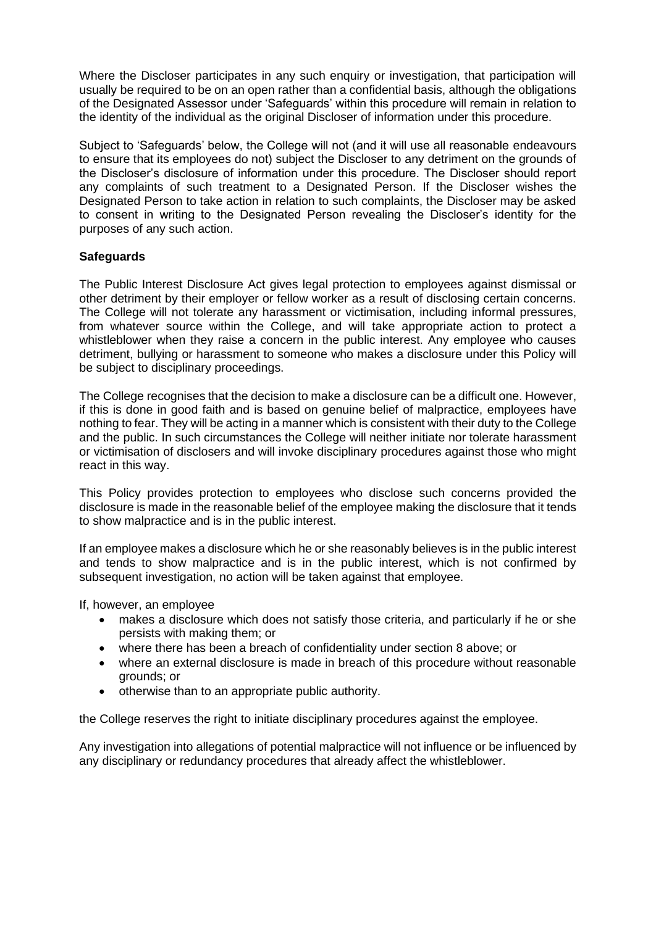Where the Discloser participates in any such enquiry or investigation, that participation will usually be required to be on an open rather than a confidential basis, although the obligations of the Designated Assessor under 'Safeguards' within this procedure will remain in relation to the identity of the individual as the original Discloser of information under this procedure.

Subject to 'Safeguards' below, the College will not (and it will use all reasonable endeavours to ensure that its employees do not) subject the Discloser to any detriment on the grounds of the Discloser's disclosure of information under this procedure. The Discloser should report any complaints of such treatment to a Designated Person. If the Discloser wishes the Designated Person to take action in relation to such complaints, the Discloser may be asked to consent in writing to the Designated Person revealing the Discloser's identity for the purposes of any such action.

#### **Safeguards**

The Public Interest Disclosure Act gives legal protection to employees against dismissal or other detriment by their employer or fellow worker as a result of disclosing certain concerns. The College will not tolerate any harassment or victimisation, including informal pressures, from whatever source within the College, and will take appropriate action to protect a whistleblower when they raise a concern in the public interest. Any employee who causes detriment, bullying or harassment to someone who makes a disclosure under this Policy will be subject to disciplinary proceedings.

The College recognises that the decision to make a disclosure can be a difficult one. However, if this is done in good faith and is based on genuine belief of malpractice, employees have nothing to fear. They will be acting in a manner which is consistent with their duty to the College and the public. In such circumstances the College will neither initiate nor tolerate harassment or victimisation of disclosers and will invoke disciplinary procedures against those who might react in this way.

This Policy provides protection to employees who disclose such concerns provided the disclosure is made in the reasonable belief of the employee making the disclosure that it tends to show malpractice and is in the public interest.

If an employee makes a disclosure which he or she reasonably believes is in the public interest and tends to show malpractice and is in the public interest, which is not confirmed by subsequent investigation, no action will be taken against that employee.

If, however, an employee

- makes a disclosure which does not satisfy those criteria, and particularly if he or she persists with making them; or
- where there has been a breach of confidentiality under section 8 above; or
- where an external disclosure is made in breach of this procedure without reasonable grounds; or
- otherwise than to an appropriate public authority.

the College reserves the right to initiate disciplinary procedures against the employee.

Any investigation into allegations of potential malpractice will not influence or be influenced by any disciplinary or redundancy procedures that already affect the whistleblower.